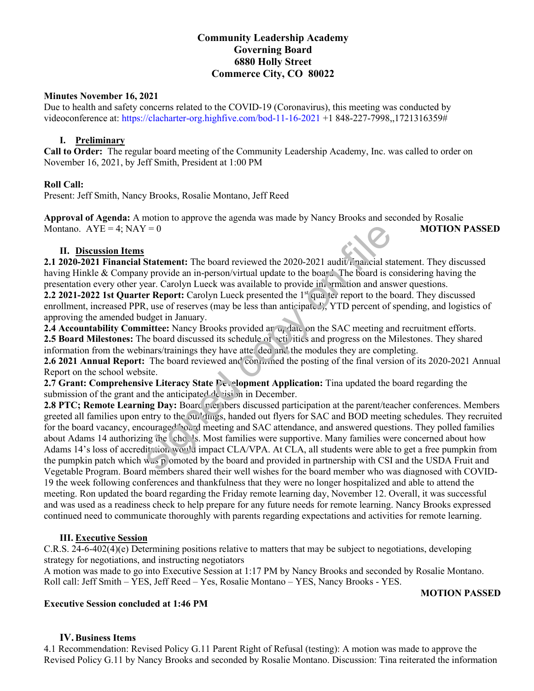# **Community Leadership Academy Governing Board 6880 Holly Street Commerce City, CO 80022**

#### **Minutes November 16, 2021**

Due to health and safety concerns related to the COVID-19 (Coronavirus), this meeting was conducted by videoconference at: https://clacharter-org.highfive.com/bod-11-16-2021 +1 848-227-7998,,1721316359#

#### **I. Preliminary**

**Call to Order:** The regular board meeting of the Community Leadership Academy, Inc. was called to order on November 16, 2021, by Jeff Smith, President at 1:00 PM

## **Roll Call:**

Present: Jeff Smith, Nancy Brooks, Rosalie Montano, Jeff Reed

**Approval of Agenda:** A motion to approve the agenda was made by Nancy Brooks and seconded by Rosalie Montano. AYE = 4; NAY = 0 **MOTION PASSED** 

#### **II. Discussion Items**

**2.1 2020-2021 Financial Statement:** The board reviewed the 2020-2021 audit/financial statement. They discussed having Hinkle & Company provide an in-person/virtual update to the board. The board is considering having the presentation every other year. Carolyn Lueck was available to provide in  $\cdot$ rmation and answer questions. **2.2 2021-2022 1st Quarter Report:** Carolyn Lueck presented the 1st quarter report to the board. They discussed enrollment, increased PPR, use of reserves (may be less than anticipated), YTD percent of spending, and logistics of approving the amended budget in January.

2.4 Accountability Committee: Nancy Brooks provided an update on the SAC meeting and recruitment efforts. **2.5 Board Milestones:** The board discussed its schedule of activities and progress on the Milestones. They shared information from the webinars/trainings they have attended and the modules they are completing.

**2.6 2021 Annual Report:** The board reviewed and continued the posting of the final version of its 2020-2021 Annual Report on the school website.

2.7 Grant: Comprehensive Literacy State Development Application: Tina updated the board regarding the submission of the grant and the anticipated  $d\epsilon$  isi on in December.

**2.8 PTC; Remote Learning Day:** Board meta ibers discussed participation at the parent/teacher conferences. Members greeted all families upon entry to the buildings, handed out flyers for SAC and BOD meeting schedules. They recruited for the board vacancy, encouraged board meeting and SAC attendance, and answered questions. They polled families about Adams 14 authorizing the schools. Most families were supportive. Many families were concerned about how Adams 14's loss of accreditation would impact CLA/VPA. At CLA, all students were able to get a free pumpkin from the pumpkin patch which was pomoted by the board and provided in partnership with CSI and the USDA Fruit and Vegetable Program. Board members shared their well wishes for the board member who was diagnosed with COVID-19 the week following conferences and thankfulness that they were no longer hospitalized and able to attend the meeting. Ron updated the board regarding the Friday remote learning day, November 12. Overall, it was successful and was used as a readiness check to help prepare for any future needs for remote learning. Nancy Brooks expressed continued need to communicate thoroughly with parents regarding expectations and activities for remote learning. fractriated the 2020-2021 and it is an in-person/virtual update to the boar.'. The board is y provide an in-person/virtual update to the boar.'. The board is cear. Carolyn Lueck was available to provide in mation and ans

## **III. Executive Session**

C.R.S. 24-6-402(4)(e) Determining positions relative to matters that may be subject to negotiations, developing strategy for negotiations, and instructing negotiators

A motion was made to go into Executive Session at 1:17 PM by Nancy Brooks and seconded by Rosalie Montano. Roll call: Jeff Smith – YES, Jeff Reed – Yes, Rosalie Montano – YES, Nancy Brooks - YES.

## **Executive Session concluded at 1:46 PM**

## **MOTION PASSED**

## **IV.Business Items**

4.1 Recommendation: Revised Policy G.11 Parent Right of Refusal (testing): A motion was made to approve the Revised Policy G.11 by Nancy Brooks and seconded by Rosalie Montano. Discussion: Tina reiterated the information